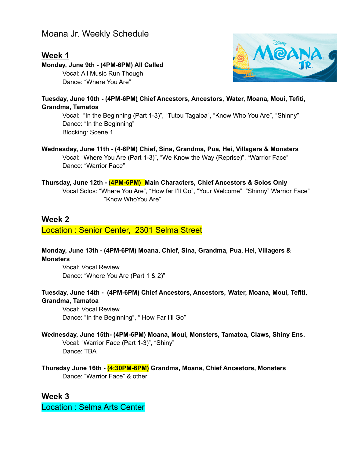# Moana Jr. Weekly Schedule

## **Week 1**

**Monday, June 9th - (4PM-6PM) All Called** Vocal: All Music Run Though Dance: "Where You Are"



**Tuesday, June 10th - (4PM-6PM) Chief Ancestors, Ancestors, Water, Moana, Moui, Tefiti, Grandma, Tamatoa**

Vocal: "In the Beginning (Part 1-3)", "Tutou Tagaloa", "Know Who You Are", "Shinny" Dance: "In the Beginning" Blocking: Scene 1

**Wednesday, June 11th - (4-6PM) Chief, Sina, Grandma, Pua, Hei, Villagers & Monsters** Vocal: "Where You Are (Part 1-3)", "We Know the Way (Reprise)", "Warrior Face" Dance: "Warrior Face"

### **Thursday, June 12th - (4PM-6PM) Main Characters, Chief Ancestors & Solos Only**

Vocal Solos: "Where You Are", "How far I'll Go", "Your Welcome" "Shinny" Warrior Face" "Know WhoYou Are"

## **Week 2**

Location : Senior Center, 2301 Selma Street

**Monday, June 13th - (4PM-6PM) Moana, Chief, Sina, Grandma, Pua, Hei, Villagers & Monsters**

Vocal: Vocal Review Dance: "Where You Are (Part 1 & 2)"

## **Tuesday, June 14th - (4PM-6PM) Chief Ancestors, Ancestors, Water, Moana, Moui, Tefiti, Grandma, Tamatoa**

Vocal: Vocal Review Dance: "In the Beginning", " How Far I'll Go"

- **Wednesday, June 15th- (4PM-6PM) Moana, Moui, Monsters, Tamatoa, Claws, Shiny Ens.** Vocal: "Warrior Face (Part 1-3)", "Shiny" Dance: TBA
- **Thursday June 16th - (4:30PM-6PM) Grandma, Moana, Chief Ancestors, Monsters** Dance: "Warrior Face" & other

**Week 3** Location : Selma Arts Center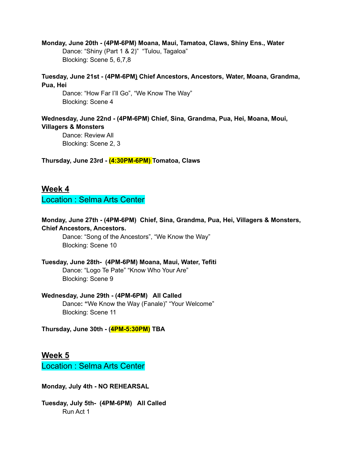#### **Monday, June 20th - (4PM-6PM) Moana, Maui, Tamatoa, Claws, Shiny Ens., Water**

Dance: "Shiny (Part 1 & 2)" "Tulou, Tagaloa" Blocking: Scene 5, 6,7,8

### **Tuesday, June 21st - (4PM-6PM) Chief Ancestors, Ancestors, Water, Moana, Grandma, Pua, Hei**

Dance: "How Far I'll Go", "We Know The Way" Blocking: Scene 4

### **Wednesday, June 22nd - (4PM-6PM) Chief, Sina, Grandma, Pua, Hei, Moana, Moui, Villagers & Monsters**

Dance: Review All Blocking: Scene 2, 3

#### **Thursday, June 23rd - (4:30PM-6PM) Tomatoa, Claws**

### **Week 4**

Location : Selma Arts Center

#### **Monday, June 27th - (4PM-6PM) Chief, Sina, Grandma, Pua, Hei, Villagers & Monsters, Chief Ancestors, Ancestors.**

Dance: "Song of the Ancestors", "We Know the Way" Blocking: Scene 10

## **Tuesday, June 28th- (4PM-6PM) Moana, Maui, Water, Tefiti**

Dance: "Logo Te Pate" "Know Who Your Are" Blocking: Scene 9

### **Wednesday, June 29th - (4PM-6PM) All Called**

Dance**: "**We Know the Way (Fanale)" "Your Welcome" Blocking: Scene 11

### **Thursday, June 30th - (4PM-5:30PM) TBA**

### **Week 5**

Location : Selma Arts Center

**Monday, July 4th - NO REHEARSAL**

**Tuesday, July 5th- (4PM-6PM) All Called** Run Act 1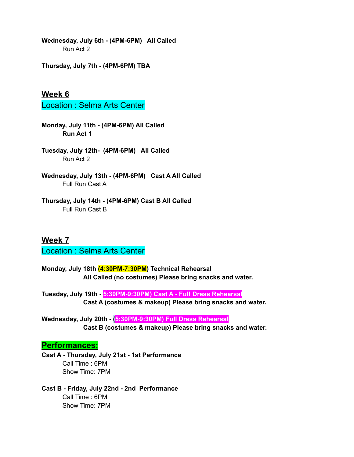**Wednesday, July 6th - (4PM-6PM) All Called** Run Act 2

**Thursday, July 7th - (4PM-6PM) TBA**

## **Week 6**

Location : Selma Arts Center

- **Monday, July 11th - (4PM-6PM) All Called Run Act 1**
- **Tuesday, July 12th- (4PM-6PM) All Called** Run Act 2
- **Wednesday, July 13th - (4PM-6PM) Cast A All Called** Full Run Cast A
- **Thursday, July 14th - (4PM-6PM) Cast B All Called** Full Run Cast B

## **Week 7**

Location : Selma Arts Center

- **Monday, July 18th (4:30PM-7:30PM) Technical Rehearsal All Called (no costumes) Please bring snacks and water.**
- **Tuesday, July 19th - 5:30PM-9:30PM) Cast A - Full Dress Rehearsal Cast A (costumes & makeup) Please bring snacks and water.**
- **Wednesday, July 20th - (5:30PM-9:30PM) Full Dress Rehearsal Cast B (costumes & makeup) Please bring snacks and water.**

### **Performances:**

- **Cast A - Thursday, July 21st - 1st Performance** Call Time : 6PM Show Time: 7PM
- **Cast B - Friday, July 22nd - 2nd Performance** Call Time : 6PM Show Time: 7PM